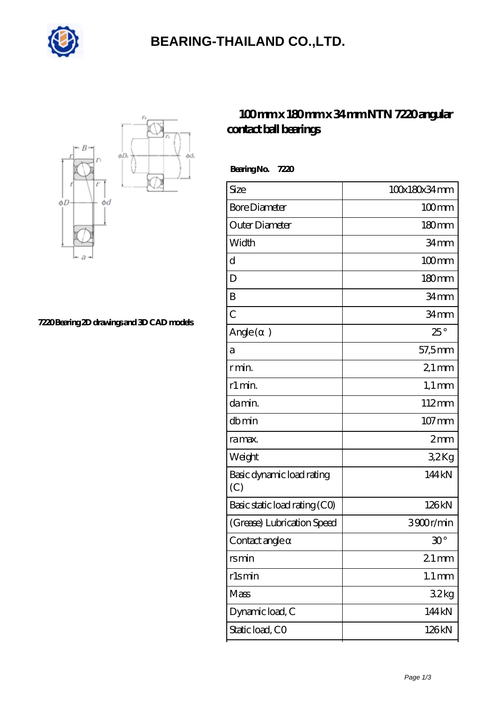

## **[BEARING-THAILAND CO.,LTD.](https://goldengatetunnel.com)**



**[7220 Bearing 2D drawings and 3D CAD models](https://goldengatetunnel.com/pic-387940.html)**

## **[100 mm x 180 mm x 34 mm NTN 7220 angular](https://goldengatetunnel.com/az-387940-ntn-7220-angular-contact-ball-bearings.html) [contact ball bearings](https://goldengatetunnel.com/az-387940-ntn-7220-angular-contact-ball-bearings.html)**

| 100x180x34mm        |
|---------------------|
| $100 \text{mm}$     |
| 180 <sub>mm</sub>   |
| 34 <sub>mm</sub>    |
| $100 \text{mm}$     |
| $180 \text{mm}$     |
| 34mm                |
| 34mm                |
| $25^{\circ}$        |
| 57,5mm              |
| $21 \,\mathrm{mm}$  |
| $1,1 \text{ mm}$    |
| 112mm               |
| $107 \,\mathrm{mm}$ |
| 2mm                 |
| 32Kg                |
| 144kN               |
| 126kN               |
| 3900r/min           |
| $30^{\circ}$        |
| $21$ mm             |
| $1.1 \,\mathrm{mm}$ |
| 32kg                |
| 144 kN              |
| 126kN               |
|                     |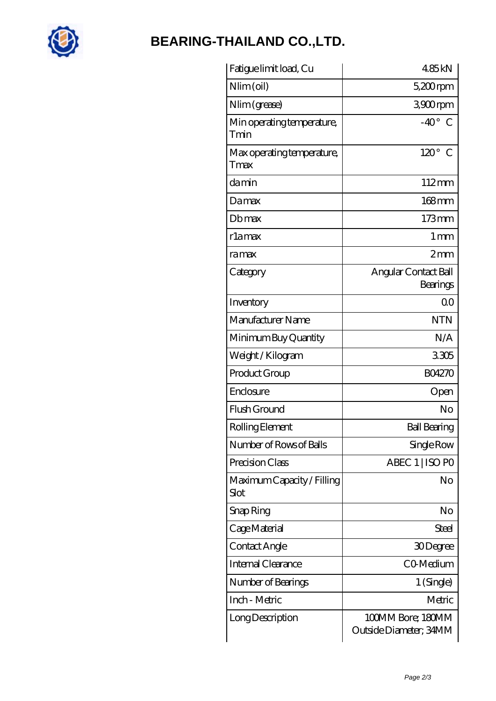

## **[BEARING-THAILAND CO.,LTD.](https://goldengatetunnel.com)**

| Fatigue limit load, Cu             | 485kN                                       |
|------------------------------------|---------------------------------------------|
| Nlim (oil)                         | $5,200$ rpm                                 |
| Nlim (grease)                      | 3900rpm                                     |
| Min operating temperature,<br>Tmin | $-40^{\circ}$<br>C                          |
| Max operating temperature,<br>Tmax | $120^\circ$<br>C                            |
| damin                              | $112 \text{mm}$                             |
| Damax                              | $168$ mm                                    |
| Dbmax                              | $173$ mm                                    |
| rlamax                             | $1 \,\mathrm{mm}$                           |
| ramax                              | 2mm                                         |
| Category                           | Angular Contact Ball<br>Bearings            |
| Inventory                          | 0 <sup>0</sup>                              |
| Manufacturer Name                  | <b>NTN</b>                                  |
| Minimum Buy Quantity               | N/A                                         |
| Weight / Kilogram                  | 3305                                        |
| Product Group                      | <b>BO4270</b>                               |
| Enclosure                          | Open                                        |
| Flush Ground                       | No                                          |
| Rolling Element                    | <b>Ball Bearing</b>                         |
| Number of Rows of Balls            | Single Row                                  |
| Precision Class                    | ABEC 1   ISO PO                             |
| Maximum Capacity / Filling<br>Slot | No                                          |
| Snap Ring                          | No                                          |
| Cage Material                      | Steel                                       |
| Contact Angle                      | 30Degree                                    |
| Internal Clearance                 | CO-Medium                                   |
| Number of Bearings                 | 1 (Single)                                  |
| Inch - Metric                      | Metric                                      |
| Long Description                   | 100MM Bore; 180MM<br>Outside Diameter; 34MM |